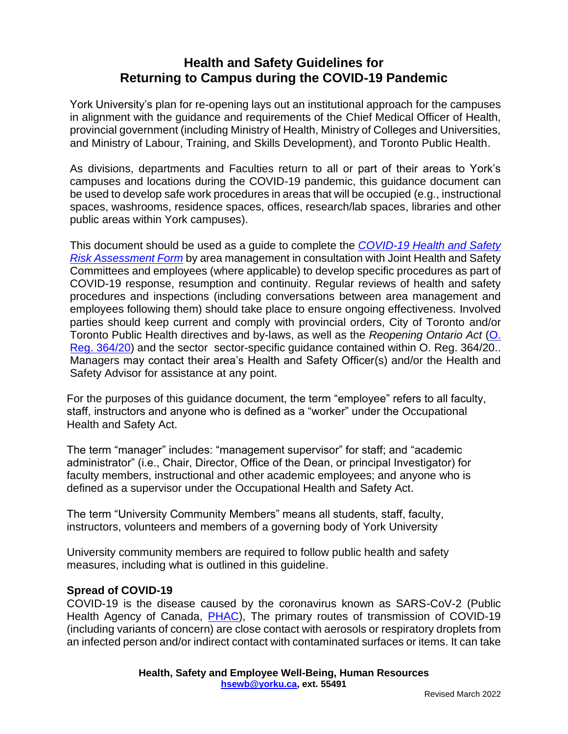# **Health and Safety Guidelines for Returning to Campus during the COVID-19 Pandemic**

York University's plan for re-opening lays out an institutional approach for the campuses in alignment with the guidance and requirements of the Chief Medical Officer of Health, provincial government (including Ministry of Health, Ministry of Colleges and Universities, and Ministry of Labour, Training, and Skills Development), and Toronto Public Health.

As divisions, departments and Faculties return to all or part of their areas to York's campuses and locations during the COVID-19 pandemic, this guidance document can be used to develop safe work procedures in areas that will be occupied (e.g., instructional spaces, washrooms, residence spaces, offices, research/lab spaces, libraries and other public areas within York campuses).

This document should be used as a guide to complete the *[COVID-19 Health and Safety](https://yulink-new.yorku.ca/group/yulink/return-to-campus-resources)  [Risk Assessment Form](https://yulink-new.yorku.ca/group/yulink/return-to-campus-resources)* by area management in consultation with Joint Health and Safety Committees and employees (where applicable) to develop specific procedures as part of COVID-19 response, resumption and continuity. Regular reviews of health and safety procedures and inspections (including conversations between area management and employees following them) should take place to ensure ongoing effectiveness. Involved parties should keep current and comply with provincial orders, City of Toronto and/or Toronto Public Health directives and by-laws, as well as the *Reopening Ontario Act* [\(O.](https://www.ontario.ca/laws/regulation/200364)  [Reg. 364/20\)](https://www.ontario.ca/laws/regulation/200364) and the sector sector-specific guidance contained within O. Reg. 364/20.. Managers may contact their area's Health and Safety Officer(s) and/or the Health and Safety Advisor for assistance at any point.

For the purposes of this guidance document, the term "employee" refers to all faculty, staff, instructors and anyone who is defined as a "worker" under the Occupational Health and Safety Act.

The term "manager" includes: "management supervisor" for staff; and "academic administrator" (i.e., Chair, Director, Office of the Dean, or principal Investigator) for faculty members, instructional and other academic employees; and anyone who is defined as a supervisor under the Occupational Health and Safety Act.

The term "University Community Members" means all students, staff, faculty, instructors, volunteers and members of a governing body of York University

University community members are required to follow public health and safety measures, including what is outlined in this guideline.

### **Spread of COVID-19**

COVID-19 is the disease caused by the coronavirus known as SARS-CoV-2 (Public Health Agency of Canada, **PHAC**), The primary routes of transmission of COVID-19 (including variants of concern) are close contact with aerosols or respiratory droplets from an infected person and/or indirect contact with contaminated surfaces or items. It can take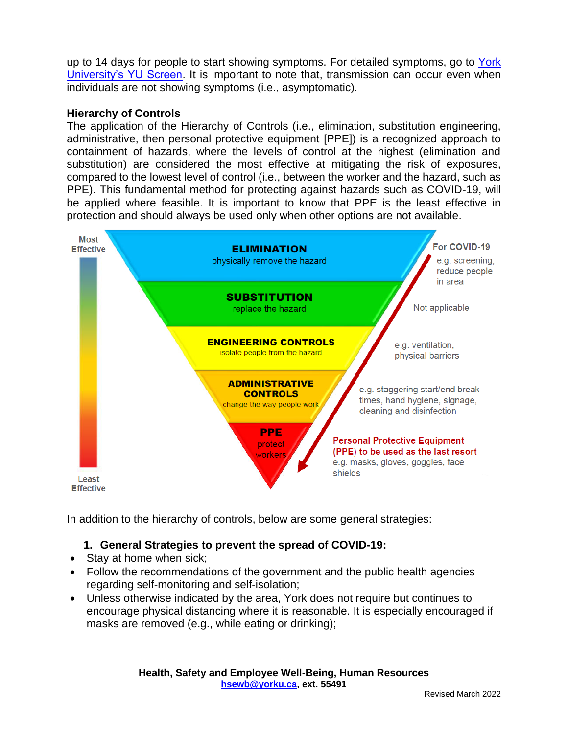up to 14 days for people to start showing symptoms. For detailed symptoms, go to York [University's YU Screen.](https://yorku.ubixhealth.com/) It is important to note that, transmission can occur even when individuals are not showing symptoms (i.e., asymptomatic).

## **Hierarchy of Controls**

The application of the Hierarchy of Controls (i.e., elimination, substitution engineering, administrative, then personal protective equipment [PPE]) is a recognized approach to containment of hazards, where the levels of control at the highest (elimination and substitution) are considered the most effective at mitigating the risk of exposures, compared to the lowest level of control (i.e., between the worker and the hazard, such as PPE). This fundamental method for protecting against hazards such as COVID-19, will be applied where feasible. It is important to know that PPE is the least effective in protection and should always be used only when other options are not available.



In addition to the hierarchy of controls, below are some general strategies:

# **1. General Strategies to prevent the spread of COVID-19:**

- Stay at home when sick;
- Follow the recommendations of the government and the public health agencies regarding self-monitoring and self-isolation;
- Unless otherwise indicated by the area, York does not require but continues to encourage physical distancing where it is reasonable. It is especially encouraged if masks are removed (e.g., while eating or drinking);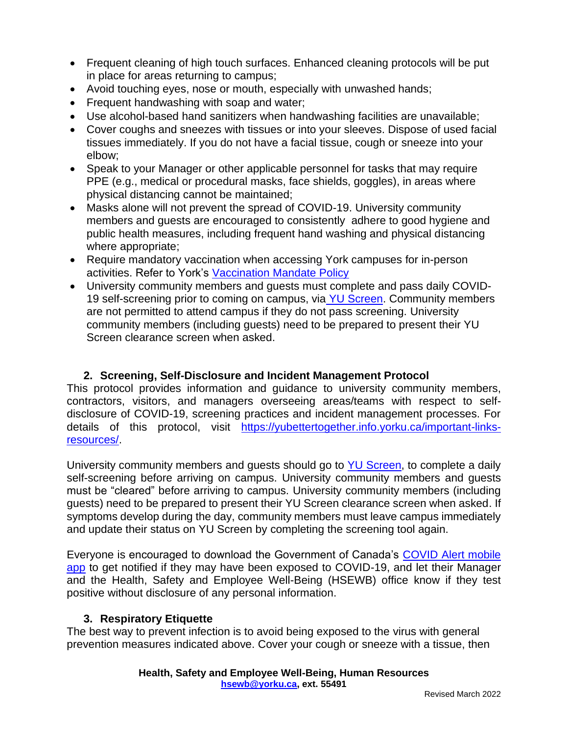- Frequent cleaning of high touch surfaces. Enhanced cleaning protocols will be put in place for areas returning to campus;
- Avoid touching eyes, nose or mouth, especially with unwashed hands;
- Frequent handwashing with soap and water;
- Use alcohol-based hand sanitizers when handwashing facilities are unavailable;
- Cover coughs and sneezes with tissues or into your sleeves. Dispose of used facial tissues immediately. If you do not have a facial tissue, cough or sneeze into your elbow;
- Speak to your Manager or other applicable personnel for tasks that may require PPE (e.g., medical or procedural masks, face shields, goggles), in areas where physical distancing cannot be maintained;
- Masks alone will not prevent the spread of COVID-19. University community members and guests are encouraged to consistently adhere to good hygiene and public health measures, including frequent hand washing and physical distancing where appropriate;
- Require mandatory vaccination when accessing York campuses for in-person activities. Refer to York's [Vaccination Mandate Policy](https://www.yorku.ca/secretariat/policies/policies/covid-19-vaccination-mandate/)
- University community members and [guests](https://www.yorku.ca/bettertogether/wp-content/uploads/sites/299/2021/12/COVID-19-Protocol-for-HS-Information-for-non-contractor-guests.pdf) must complete and pass daily COVID-19 self-screening prior to coming on campus, via [YU Screen.](https://yorku.ubixhealth.com/) Community members are not permitted to attend campus if they do not pass screening. University community members (including guests) need to be prepared to present their YU Screen clearance screen when asked.

# **2. Screening, Self-Disclosure and Incident Management Protocol**

This protocol provides information and guidance to university community members, contractors, visitors, and managers overseeing areas/teams with respect to selfdisclosure of COVID-19, screening practices and incident management processes. For details of this protocol, visit [https://yubettertogether.info.yorku.ca/important-links](https://yubettertogether.info.yorku.ca/important-links-resources/)[resources/.](https://yubettertogether.info.yorku.ca/important-links-resources/)

University community members and quests should go to [YU Screen,](https://yorku.ubixhealth.com/) to complete a daily self-screening before arriving on campus. University community members and guests must be "cleared" before arriving to campus. University community members (including guests) need to be prepared to present their YU Screen clearance screen when asked. If symptoms develop during the day, community members must leave campus immediately and update their status on YU Screen by completing the screening tool again.

Everyone is encouraged to download the Government of Canada's [COVID Alert mobile](https://covid-19.ontario.ca/covidalert)  [app](https://covid-19.ontario.ca/covidalert) to get notified if they may have been exposed to COVID-19, and let their Manager and the Health, Safety and Employee Well-Being (HSEWB) office know if they test positive without disclosure of any personal information.

### **3. Respiratory Etiquette**

The best way to prevent infection is to avoid being exposed to the virus with general prevention measures indicated above. Cover your cough or sneeze with a tissue, then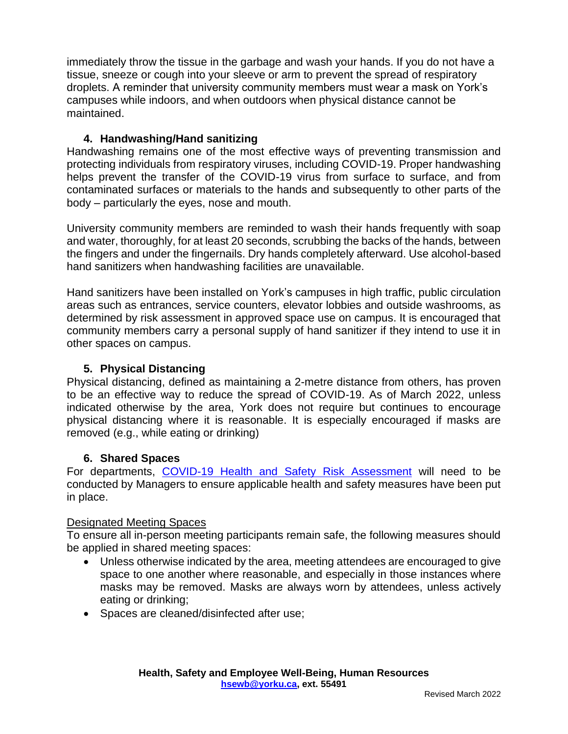immediately throw the tissue in the garbage and wash your hands. If you do not have a tissue, sneeze or cough into your sleeve or arm to prevent the spread of respiratory droplets. A reminder that university community members must wear a mask on York's campuses while indoors, and when outdoors when physical distance cannot be maintained.

### **4. Handwashing/Hand sanitizing**

Handwashing remains one of the most effective ways of preventing transmission and protecting individuals from respiratory viruses, including COVID-19. Proper handwashing helps prevent the transfer of the COVID-19 virus from surface to surface, and from contaminated surfaces or materials to the hands and subsequently to other parts of the body – particularly the eyes, nose and mouth.

University community members are reminded to wash their hands frequently with soap and water, thoroughly, for at least 20 seconds, scrubbing the backs of the hands, between the fingers and under the fingernails. Dry hands completely afterward. Use alcohol-based hand sanitizers when handwashing facilities are unavailable.

Hand sanitizers have been installed on York's campuses in high traffic, public circulation areas such as entrances, service counters, elevator lobbies and outside washrooms, as determined by risk assessment in approved space use on campus. It is encouraged that community members carry a personal supply of hand sanitizer if they intend to use it in other spaces on campus.

## **5. Physical Distancing**

Physical distancing, defined as maintaining a 2-metre distance from others, has proven to be an effective way to reduce the spread of COVID-19. As of March 2022, unless indicated otherwise by the area, York does not require but continues to encourage physical distancing where it is reasonable. It is especially encouraged if masks are removed (e.g., while eating or drinking)

### **6. Shared Spaces**

For departments, [COVID-19 Health and Safety Risk Assessment](https://yulink-new.yorku.ca/group/yulink/return-to-campus-resources) will need to be conducted by Managers to ensure applicable health and safety measures have been put in place.

### Designated Meeting Spaces

To ensure all in-person meeting participants remain safe, the following measures should be applied in shared meeting spaces:

- Unless otherwise indicated by the area, meeting attendees are encouraged to give space to one another where reasonable, and especially in those instances where masks may be removed. Masks are always worn by attendees, unless actively eating or drinking;
- Spaces are cleaned/disinfected after use;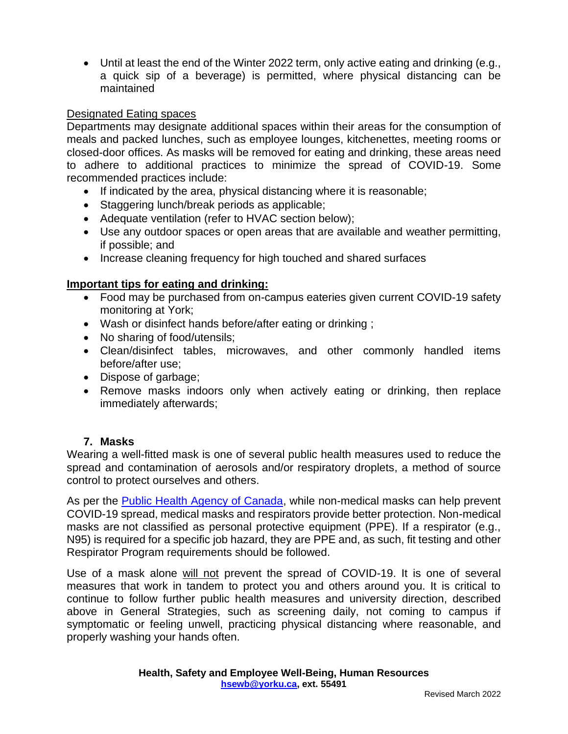• Until at least the end of the Winter 2022 term, only active eating and drinking (e.g., a quick sip of a beverage) is permitted, where physical distancing can be maintained

## Designated Eating spaces

Departments may designate additional spaces within their areas for the consumption of meals and packed lunches, such as employee lounges, kitchenettes, meeting rooms or closed-door offices. As masks will be removed for eating and drinking, these areas need to adhere to additional practices to minimize the spread of COVID-19. Some recommended practices include:

- If indicated by the area, physical distancing where it is reasonable;
- Staggering lunch/break periods as applicable;
- Adequate ventilation (refer to HVAC section below);
- Use any outdoor spaces or open areas that are available and weather permitting, if possible; and
- Increase cleaning frequency for high touched and shared surfaces

### **Important tips for eating and drinking:**

- Food may be purchased from on-campus eateries given current COVID-19 safety monitoring at York;
- Wash or disinfect hands before/after eating or drinking ;
- No sharing of food/utensils:
- Clean/disinfect tables, microwaves, and other commonly handled items before/after use;
- Dispose of garbage;
- Remove masks indoors only when actively eating or drinking, then replace immediately afterwards;

### **7. Masks**

Wearing a well-fitted mask is one of several public health measures used to reduce the spread and contamination of aerosols and/or respiratory droplets, a method of source control to protect ourselves and others.

As per the [Public Health Agency of Canada,](https://www.canada.ca/en/public-health/services/diseases/2019-novel-coronavirus-infection/prevention-risks/about-non-medical-masks-face-coverings.html) while non-medical masks can help prevent COVID-19 spread, medical masks and respirators provide better protection. Non-medical masks are not classified as personal protective equipment (PPE). If a respirator (e.g., N95) is required for a specific job hazard, they are PPE and, as such, fit testing and other Respirator Program requirements should be followed.

Use of a mask alone will not prevent the spread of COVID-19. It is one of several measures that work in tandem to protect you and others around you. It is critical to continue to follow further public health measures and university direction, described above in General Strategies, such as screening daily, not coming to campus if symptomatic or feeling unwell, practicing physical distancing where reasonable, and properly washing your hands often.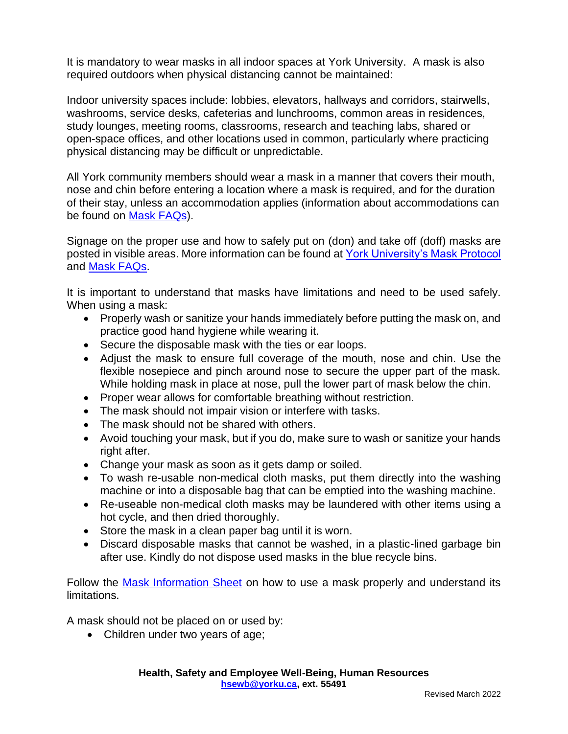It is mandatory to wear masks in all indoor spaces at York University. A mask is also required outdoors when physical distancing cannot be maintained:

Indoor university spaces include: lobbies, elevators, hallways and corridors, stairwells, washrooms, service desks, cafeterias and lunchrooms, common areas in residences, study lounges, meeting rooms, classrooms, research and teaching labs, shared or open-space offices, and other locations used in common, particularly where practicing physical distancing may be difficult or unpredictable.

All York community members should wear a mask in a manner that covers their mouth, nose and chin before entering a location where a mask is required, and for the duration of their stay, unless an accommodation applies (information about accommodations can be found on [Mask FAQs\)](https://yulink-new.yorku.ca/documents/20182/15096541/Mask+or+Face+Covering+-+FAQs-+Final.pdf/8fea1cf4-71f3-4fee-872f-e8dd7653ff64).

Signage on the proper use and how to safely put on (don) and take off (doff) masks are posted in visible areas. More information can be found at [York University's Mask Protocol](https://www.yorku.ca/bettertogether/wp-content/uploads/sites/299/2022/02/2022-Jan-27_YorkUniversityMaskProtocolV9-Final.pdf) and [Mask FAQs.](https://yulink-new.yorku.ca/documents/20182/15096541/Mask+or+Face+Covering+-+FAQs-+Final.pdf/8fea1cf4-71f3-4fee-872f-e8dd7653ff64)

It is important to understand that masks have limitations and need to be used safely. When using a mask:

- Properly wash or sanitize your hands immediately before putting the mask on, and practice good hand hygiene while wearing it.
- Secure the disposable mask with the ties or ear loops.
- Adjust the mask to ensure full coverage of the mouth, nose and chin. Use the flexible nosepiece and pinch around nose to secure the upper part of the mask. While holding mask in place at nose, pull the lower part of mask below the chin.
- Proper wear allows for comfortable breathing without restriction.
- The mask should not impair vision or interfere with tasks.
- The mask should not be shared with others.
- Avoid touching your mask, but if you do, make sure to wash or sanitize your hands right after.
- Change your mask as soon as it gets damp or soiled.
- To wash re-usable non-medical cloth masks, put them directly into the washing machine or into a disposable bag that can be emptied into the washing machine.
- Re-useable non-medical cloth masks may be laundered with other items using a hot cycle, and then dried thoroughly.
- Store the mask in a clean paper bag until it is worn.
- Discard disposable masks that cannot be washed, in a plastic-lined garbage bin after use. Kindly do not dispose used masks in the blue recycle bins.

Follow the [Mask Information Sheet](https://yulink-new.yorku.ca/documents/20182/15096541/Face+Covering+Information+Sheet+-+Final.pdf/928219cd-00ca-4419-945f-e0a29db44e4d) on how to use a mask properly and understand its limitations.

A mask should not be placed on or used by:

• Children under two years of age;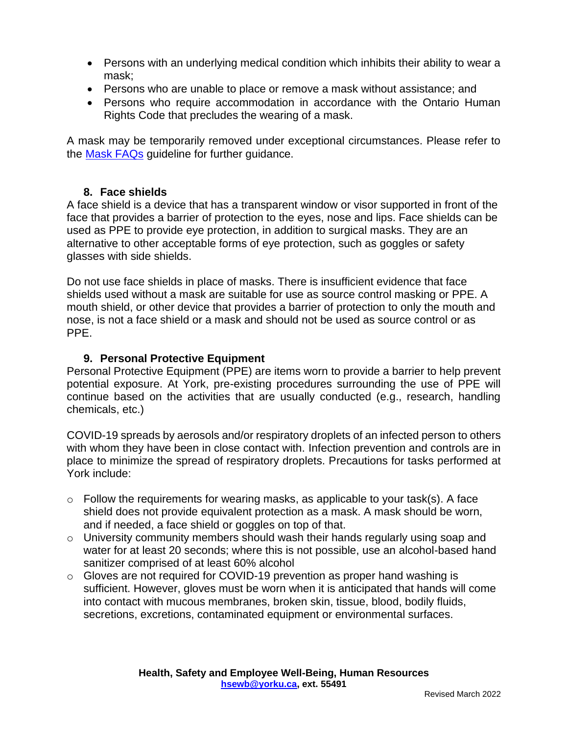- Persons with an underlying medical condition which inhibits their ability to wear a mask;
- Persons who are unable to place or remove a mask without assistance; and
- Persons who require accommodation in accordance with the Ontario Human Rights Code that precludes the wearing of a mask.

A mask may be temporarily removed under exceptional circumstances. Please refer to the [Mask FAQs](https://yulink-new.yorku.ca/documents/20182/15096541/Mask+or+Face+Covering+-+FAQs-+Final.pdf/8fea1cf4-71f3-4fee-872f-e8dd7653ff64) guideline for further guidance.

## **8. Face shields**

A face shield is a device that has a transparent window or visor supported in front of the face that provides a barrier of protection to the eyes, nose and lips. Face shields can be used as PPE to provide eye protection, in addition to surgical masks. They are an alternative to other acceptable forms of eye protection, such as goggles or safety glasses with side shields.

Do not use face shields in place of masks. There is insufficient evidence that face shields used without a mask are suitable for use as source control masking or PPE. A mouth shield, or other device that provides a barrier of protection to only the mouth and nose, is not a face shield or a mask and should not be used as source control or as PPE.

## **9. Personal Protective Equipment**

Personal Protective Equipment (PPE) are items worn to provide a barrier to help prevent potential exposure. At York, pre-existing procedures surrounding the use of PPE will continue based on the activities that are usually conducted (e.g., research, handling chemicals, etc.)

COVID-19 spreads by aerosols and/or respiratory droplets of an infected person to others with whom they have been in close contact with. Infection prevention and controls are in place to minimize the spread of respiratory droplets. Precautions for tasks performed at York include:

- o Follow the requirements for wearing masks, as applicable to your task(s). A face shield does not provide equivalent protection as a mask. A mask should be worn, and if needed, a face shield or goggles on top of that.
- o University community members should wash their hands regularly using soap and water for at least 20 seconds; where this is not possible, use an alcohol-based hand sanitizer comprised of at least 60% alcohol
- o Gloves are not required for COVID-19 prevention as proper hand washing is sufficient. However, gloves must be worn when it is anticipated that hands will come into contact with mucous membranes, broken skin, tissue, blood, bodily fluids, secretions, excretions, contaminated equipment or environmental surfaces.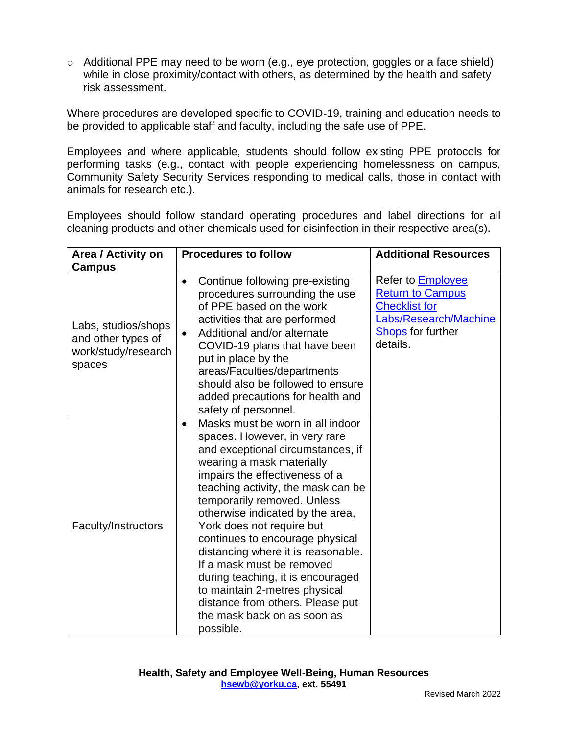o Additional PPE may need to be worn (e.g., eye protection, goggles or a face shield) while in close proximity/contact with others, as determined by the health and safety risk assessment.

Where procedures are developed specific to COVID-19, training and education needs to be provided to applicable staff and faculty, including the safe use of PPE.

Employees and where applicable, students should follow existing PPE protocols for performing tasks (e.g., contact with people experiencing homelessness on campus, Community Safety Security Services responding to medical calls, those in contact with animals for research etc.).

Employees should follow standard operating procedures and label directions for all cleaning products and other chemicals used for disinfection in their respective area(s).

| Area / Activity on                                                         | <b>Procedures to follow</b>                                                                                                                                                                                                                                                                                                                                                                                                                                                                                                                                             | <b>Additional Resources</b>                                                                                                                  |
|----------------------------------------------------------------------------|-------------------------------------------------------------------------------------------------------------------------------------------------------------------------------------------------------------------------------------------------------------------------------------------------------------------------------------------------------------------------------------------------------------------------------------------------------------------------------------------------------------------------------------------------------------------------|----------------------------------------------------------------------------------------------------------------------------------------------|
| Campus                                                                     |                                                                                                                                                                                                                                                                                                                                                                                                                                                                                                                                                                         |                                                                                                                                              |
| Labs, studios/shops<br>and other types of<br>work/study/research<br>spaces | Continue following pre-existing<br>$\bullet$<br>procedures surrounding the use<br>of PPE based on the work<br>activities that are performed<br>Additional and/or alternate<br>$\bullet$<br>COVID-19 plans that have been<br>put in place by the<br>areas/Faculties/departments<br>should also be followed to ensure<br>added precautions for health and<br>safety of personnel.                                                                                                                                                                                         | Refer to <b>Employee</b><br><b>Return to Campus</b><br><b>Checklist for</b><br>Labs/Research/Machine<br><b>Shops</b> for further<br>details. |
| Faculty/Instructors                                                        | Masks must be worn in all indoor<br>spaces. However, in very rare<br>and exceptional circumstances, if<br>wearing a mask materially<br>impairs the effectiveness of a<br>teaching activity, the mask can be<br>temporarily removed. Unless<br>otherwise indicated by the area,<br>York does not require but<br>continues to encourage physical<br>distancing where it is reasonable.<br>If a mask must be removed<br>during teaching, it is encouraged<br>to maintain 2-metres physical<br>distance from others. Please put<br>the mask back on as soon as<br>possible. |                                                                                                                                              |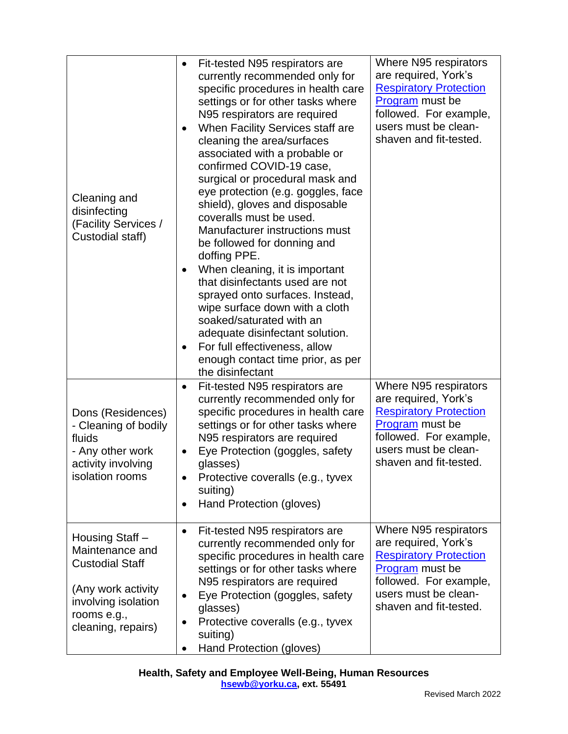| Cleaning and<br>disinfecting<br>(Facility Services /<br>Custodial staff)                                                                       | Fit-tested N95 respirators are<br>٠<br>currently recommended only for<br>specific procedures in health care<br>settings or for other tasks where<br>N95 respirators are required<br>When Facility Services staff are<br>$\bullet$<br>cleaning the area/surfaces<br>associated with a probable or<br>confirmed COVID-19 case,<br>surgical or procedural mask and<br>eye protection (e.g. goggles, face<br>shield), gloves and disposable<br>coveralls must be used.<br>Manufacturer instructions must<br>be followed for donning and<br>doffing PPE.<br>When cleaning, it is important<br>that disinfectants used are not<br>sprayed onto surfaces. Instead,<br>wipe surface down with a cloth<br>soaked/saturated with an<br>adequate disinfectant solution.<br>For full effectiveness, allow<br>enough contact time prior, as per<br>the disinfectant | Where N95 respirators<br>are required, York's<br><b>Respiratory Protection</b><br>Program must be<br>followed. For example,<br>users must be clean-<br>shaven and fit-tested. |
|------------------------------------------------------------------------------------------------------------------------------------------------|--------------------------------------------------------------------------------------------------------------------------------------------------------------------------------------------------------------------------------------------------------------------------------------------------------------------------------------------------------------------------------------------------------------------------------------------------------------------------------------------------------------------------------------------------------------------------------------------------------------------------------------------------------------------------------------------------------------------------------------------------------------------------------------------------------------------------------------------------------|-------------------------------------------------------------------------------------------------------------------------------------------------------------------------------|
| Dons (Residences)<br>- Cleaning of bodily<br>fluids<br>- Any other work<br>activity involving<br>isolation rooms                               | Fit-tested N95 respirators are<br>currently recommended only for<br>specific procedures in health care<br>settings or for other tasks where<br>N95 respirators are required<br>Eye Protection (goggles, safety<br>$\bullet$<br>glasses)<br>Protective coveralls (e.g., tyvex<br>$\bullet$<br>suiting)<br>Hand Protection (gloves)<br>$\bullet$                                                                                                                                                                                                                                                                                                                                                                                                                                                                                                         | Where N95 respirators<br>are required, York's<br><b>Respiratory Protection</b><br>Program must be<br>followed. For example,<br>users must be clean-<br>shaven and fit-tested. |
| Housing Staff -<br>Maintenance and<br><b>Custodial Staff</b><br>(Any work activity<br>involving isolation<br>rooms e.g.,<br>cleaning, repairs) | Fit-tested N95 respirators are<br>$\bullet$<br>currently recommended only for<br>specific procedures in health care<br>settings or for other tasks where<br>N95 respirators are required<br>Eye Protection (goggles, safety<br>٠<br>glasses)<br>Protective coveralls (e.g., tyvex<br>suiting)<br>Hand Protection (gloves)                                                                                                                                                                                                                                                                                                                                                                                                                                                                                                                              | Where N95 respirators<br>are required, York's<br><b>Respiratory Protection</b><br>Program must be<br>followed. For example,<br>users must be clean-<br>shaven and fit-tested. |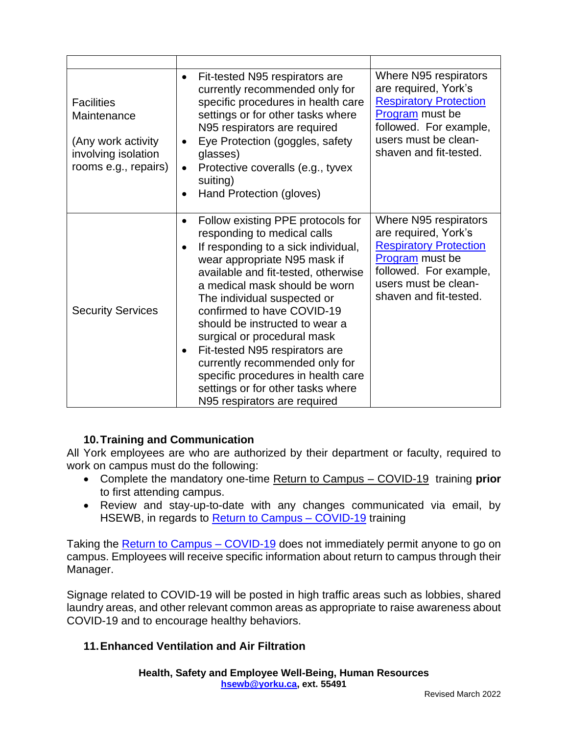| <b>Facilities</b><br>Maintenance<br>(Any work activity<br>involving isolation<br>rooms e.g., repairs) | Fit-tested N95 respirators are<br>$\bullet$<br>currently recommended only for<br>specific procedures in health care<br>settings or for other tasks where<br>N95 respirators are required<br>Eye Protection (goggles, safety<br>$\bullet$<br>glasses)<br>Protective coveralls (e.g., tyvex<br>$\bullet$<br>suiting)<br>Hand Protection (gloves)                                                                                                                                                                                                                      | Where N95 respirators<br>are required, York's<br><b>Respiratory Protection</b><br>Program must be<br>followed. For example,<br>users must be clean-<br>shaven and fit-tested. |
|-------------------------------------------------------------------------------------------------------|---------------------------------------------------------------------------------------------------------------------------------------------------------------------------------------------------------------------------------------------------------------------------------------------------------------------------------------------------------------------------------------------------------------------------------------------------------------------------------------------------------------------------------------------------------------------|-------------------------------------------------------------------------------------------------------------------------------------------------------------------------------|
| <b>Security Services</b>                                                                              | Follow existing PPE protocols for<br>$\bullet$<br>responding to medical calls<br>If responding to a sick individual,<br>$\bullet$<br>wear appropriate N95 mask if<br>available and fit-tested, otherwise<br>a medical mask should be worn<br>The individual suspected or<br>confirmed to have COVID-19<br>should be instructed to wear a<br>surgical or procedural mask<br>Fit-tested N95 respirators are<br>$\bullet$<br>currently recommended only for<br>specific procedures in health care<br>settings or for other tasks where<br>N95 respirators are required | Where N95 respirators<br>are required, York's<br><b>Respiratory Protection</b><br>Program must be<br>followed. For example,<br>users must be clean-<br>shaven and fit-tested. |

# **10.Training and Communication**

All York employees are who are authorized by their department or faculty, required to work on campus must do the following:

- Complete the mandatory one-time [Return to Campus –](https://moodle.yorku.ca/moodle/course/view.php?id=182465) COVID-19 training **prior** to first attending campus.
- Review and stay-up-to-date with any changes communicated via email, by HSEWB, in regards to Return to Campus - COVID-19 training

Taking the **Return to Campus – COVID-19** does not immediately permit anyone to go on campus. Employees will receive specific information about return to campus through their Manager.

Signage related to COVID-19 will be posted in high traffic areas such as lobbies, shared laundry areas, and other relevant common areas as appropriate to raise awareness about COVID-19 and to encourage healthy behaviors.

# **11.Enhanced Ventilation and Air Filtration**

**Health, Safety and Employee Well-Being, Human Resources [hsewb@yorku.ca,](mailto:hsewb@yorku.ca) ext. 55491**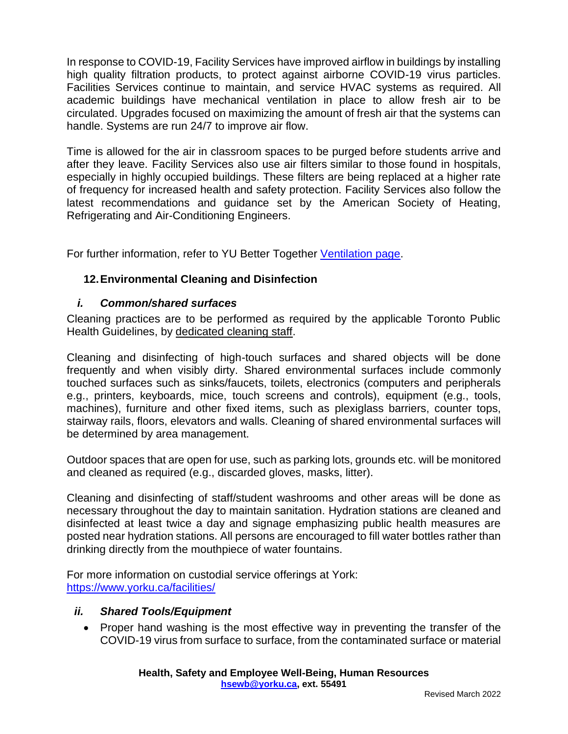In response to COVID-19, Facility Services have improved airflow in buildings by installing high quality filtration products, to protect against airborne COVID-19 virus particles. Facilities Services continue to maintain, and service HVAC systems as required. All academic buildings have mechanical ventilation in place to allow fresh air to be circulated. Upgrades focused on maximizing the amount of fresh air that the systems can handle. Systems are run 24/7 to improve air flow.

Time is allowed for the air in classroom spaces to be purged before students arrive and after they leave. Facility Services also use air filters similar to those found in hospitals, especially in highly occupied buildings. These filters are being replaced at a higher rate of frequency for increased health and safety protection. Facility Services also follow the latest recommendations and guidance set by the American Society of Heating, Refrigerating and Air-Conditioning Engineers.

For further information, refer to YU Better Together [Ventilation page.](https://www.yorku.ca/bettertogether/ventilation/)

# **12.Environmental Cleaning and Disinfection**

# *i. Common/shared surfaces*

Cleaning practices are to be performed as required by the applicable Toronto Public Health Guidelines, by [dedicated cleaning staff.](https://facilities.info.yorku.ca/services/custodial/)

Cleaning and disinfecting of high-touch surfaces and shared objects will be done frequently and when visibly dirty. Shared environmental surfaces include commonly touched surfaces such as sinks/faucets, toilets, electronics (computers and peripherals e.g., printers, keyboards, mice, touch screens and controls), equipment (e.g., tools, machines), furniture and other fixed items, such as plexiglass barriers, counter tops, stairway rails, floors, elevators and walls. Cleaning of shared environmental surfaces will be determined by area management.

Outdoor spaces that are open for use, such as parking lots, grounds etc. will be monitored and cleaned as required (e.g., discarded gloves, masks, litter).

Cleaning and disinfecting of staff/student washrooms and other areas will be done as necessary throughout the day to maintain sanitation. Hydration stations are cleaned and disinfected at least twice a day and signage emphasizing public health measures are posted near hydration stations. All persons are encouraged to fill water bottles rather than drinking directly from the mouthpiece of water fountains.

For more information on custodial service offerings at York: <https://www.yorku.ca/facilities/>

### *ii. Shared Tools/Equipment*

• Proper hand washing is the most effective way in preventing the transfer of the COVID-19 virus from surface to surface, from the contaminated surface or material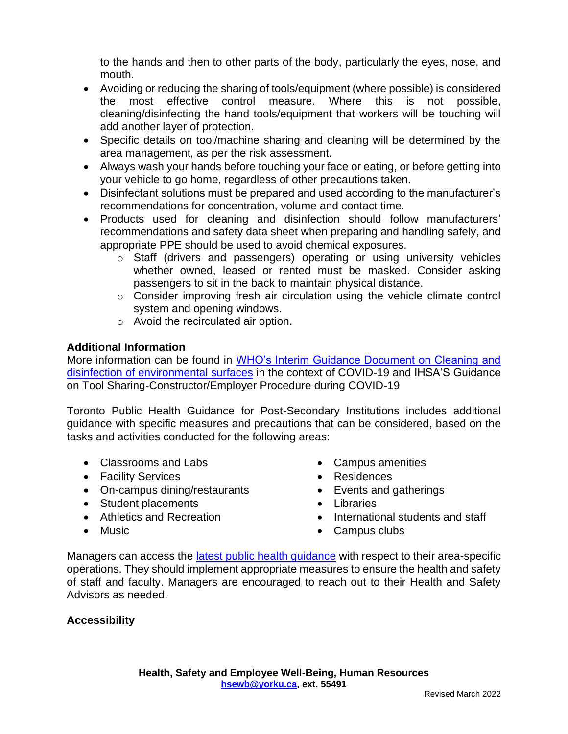to the hands and then to other parts of the body, particularly the eyes, nose, and mouth.

- Avoiding or reducing the sharing of tools/equipment (where possible) is considered the most effective control measure. Where this is not possible, cleaning/disinfecting the hand tools/equipment that workers will be touching will add another layer of protection.
- Specific details on tool/machine sharing and cleaning will be determined by the area management, as per the risk assessment.
- Always wash your hands before touching your face or eating, or before getting into your vehicle to go home, regardless of other precautions taken.
- Disinfectant solutions must be prepared and used according to the manufacturer's recommendations for concentration, volume and contact time.
- Products used for cleaning and disinfection should follow manufacturers' recommendations and safety data sheet when preparing and handling safely, and appropriate PPE should be used to avoid chemical exposures.
	- o Staff (drivers and passengers) operating or using university vehicles whether owned, leased or rented must be masked. Consider asking passengers to sit in the back to maintain physical distance.
	- o Consider improving fresh air circulation using the vehicle climate control system and opening windows.
	- o Avoid the recirculated air option.

## **Additional Information**

More information can be found in [WHO's Interim Guidance Document on Cleaning and](https://www.who.int/publications-detail-redirect/cleaning-and-disinfection-of-environmental-surfaces-inthe-context-of-covid-19)  [disinfection of environmental surfaces](https://www.who.int/publications-detail-redirect/cleaning-and-disinfection-of-environmental-surfaces-inthe-context-of-covid-19) in the context of COVID-19 and IHSA'S Guidance on Tool Sharing-Constructor/Employer Procedure during COVID-19

Toronto Public Health Guidance for Post-Secondary Institutions includes additional guidance with specific measures and precautions that can be considered, based on the tasks and activities conducted for the following areas:

- Classrooms and Labs
- Facility Services
- On-campus dining/restaurants
- Student placements
- Athletics and Recreation
- Music
- Campus amenities
- Residences
- Events and gatherings
- Libraries
- International students and staff
- Campus clubs

Managers can access the [latest public health guidance](https://www.toronto.ca/home/covid-19/covid-19-reopening-recovery-rebuild/covid-19-reopening-guidelines-for-businesses-organizations/covid-19-guidance-post-secondary-schools/) with respect to their area-specific operations. They should implement appropriate measures to ensure the health and safety of staff and faculty. Managers are encouraged to reach out to their Health and Safety Advisors as needed.

### **Accessibility**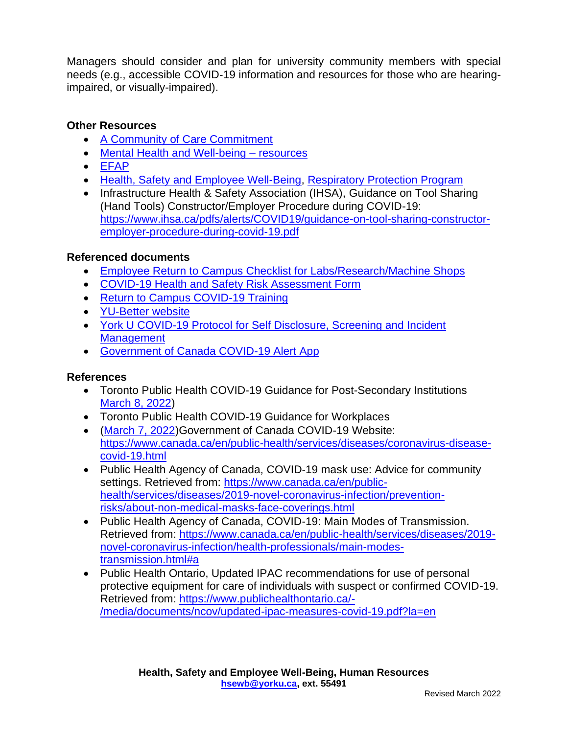Managers should consider and plan for university community members with special needs (e.g., accessible COVID-19 information and resources for those who are hearingimpaired, or visually-impaired).

## **Other Resources**

- [A Community of Care Commitment](https://www.yorku.ca/bettertogether/creating-a-community-of-care/)
- [Mental Health and Well-being –](https://yulink-new.yorku.ca/group/yulink/covid-19) resources
- [EFAP](https://yulink-new.yorku.ca/group/yulink/employee-and-family-assistance)
- [Health, Safety and Employee Well-Being,](https://yulink-new.yorku.ca/group/yulink/health-safety-and-employee-well-being) [Respiratory Protection Program](https://yulink-new.yorku.ca/documents/20182/1360664/Respirator+Protection+Program/f32b6886-569a-48c7-8252-32fb4c0acb3b)
- Infrastructure Health & Safety Association (IHSA), Guidance on Tool Sharing (Hand Tools) Constructor/Employer Procedure during COVID-19: [https://www.ihsa.ca/pdfs/alerts/COVID19/guidance-on-tool-sharing-constructor](https://www.ihsa.ca/pdfs/alerts/COVID19/guidance-on-tool-sharing-constructor-employer-procedure-during-covid-19.pdf)[employer-procedure-during-covid-19.pdf](https://www.ihsa.ca/pdfs/alerts/COVID19/guidance-on-tool-sharing-constructor-employer-procedure-during-covid-19.pdf)

### **Referenced documents**

- [Employee Return to Campus Checklist for Labs/Research/Machine Shops](https://yulink-new.yorku.ca/group/yulink/return-to-campus-resources)
- [COVID-19 Health and Safety Risk Assessment Form](https://yulink-new.yorku.ca/group/yulink/return-to-campus-resources)
- [Return to Campus COVID-19 Training](https://moodle.yorku.ca/moodle/course/view.php?id=182465)
- [YU-Better website](https://yubettertogether.info.yorku.ca/)
- [York U COVID-19 Protocol for Self Disclosure, Screening and Incident](https://yulink-new.yorku.ca/documents/20182/12787045/COVID-19+Self+disclosure+screening+and+incident+mgmt/1962346f-adf9-4f35-b6d8-b27a91f8d98a)  **[Management](https://yulink-new.yorku.ca/documents/20182/12787045/COVID-19+Self+disclosure+screening+and+incident+mgmt/1962346f-adf9-4f35-b6d8-b27a91f8d98a)**
- [Government of Canada COVID-19 Alert App](https://covid-19.ontario.ca/covidalert)

# **References**

- Toronto Public Health COVID-19 Guidance for Post-Secondary Institutions [March 8, 2022\)](https://www.toronto.ca/home/covid-19/covid-19-reopening-recovery-rebuild/covid-19-reopening-guidelines-for-businesses-organizations/covid-19-guidance-post-secondary-schools/)
- Toronto Public Health COVID-19 Guidance for Workplaces
- [\(March 7, 2022\)](https://www.toronto.ca/home/covid-19/covid-19-reopening-recovery-rebuild/covid-19-reopening-guidelines-for-businesses-organizations/covid-19-guidance-employers-workplaces-businesses/)Government of Canada COVID-19 Website: [https://www.canada.ca/en/public-health/services/diseases/coronavirus-disease](https://www.canada.ca/en/public-health/services/diseases/coronavirus-disease-covid-19.html)[covid-19.html](https://www.canada.ca/en/public-health/services/diseases/coronavirus-disease-covid-19.html)
- Public Health Agency of Canada, COVID-19 mask use: Advice for community settings. Retrieved from: [https://www.canada.ca/en/public](https://www.canada.ca/en/public-health/services/diseases/2019-novel-coronavirus-infection/prevention-risks/about-non-medical-masks-face-coverings.html)[health/services/diseases/2019-novel-coronavirus-infection/prevention](https://www.canada.ca/en/public-health/services/diseases/2019-novel-coronavirus-infection/prevention-risks/about-non-medical-masks-face-coverings.html)[risks/about-non-medical-masks-face-coverings.html](https://www.canada.ca/en/public-health/services/diseases/2019-novel-coronavirus-infection/prevention-risks/about-non-medical-masks-face-coverings.html)
- Public Health Agency of Canada, COVID-19: Main Modes of Transmission. Retrieved from: [https://www.canada.ca/en/public-health/services/diseases/2019](https://www.canada.ca/en/public-health/services/diseases/2019-novel-coronavirus-infection/health-professionals/main-modes-transmission.html#a) [novel-coronavirus-infection/health-professionals/main-modes](https://www.canada.ca/en/public-health/services/diseases/2019-novel-coronavirus-infection/health-professionals/main-modes-transmission.html#a)[transmission.html#a](https://www.canada.ca/en/public-health/services/diseases/2019-novel-coronavirus-infection/health-professionals/main-modes-transmission.html#a)
- Public Health Ontario, Updated IPAC recommendations for use of personal protective equipment for care of individuals with suspect or confirmed COVID-19. Retrieved from: [https://www.publichealthontario.ca/-](https://www.publichealthontario.ca/-/media/documents/ncov/updated-ipac-measures-covid-19.pdf?la=en) [/media/documents/ncov/updated-ipac-measures-covid-19.pdf?la=en](https://www.publichealthontario.ca/-/media/documents/ncov/updated-ipac-measures-covid-19.pdf?la=en)